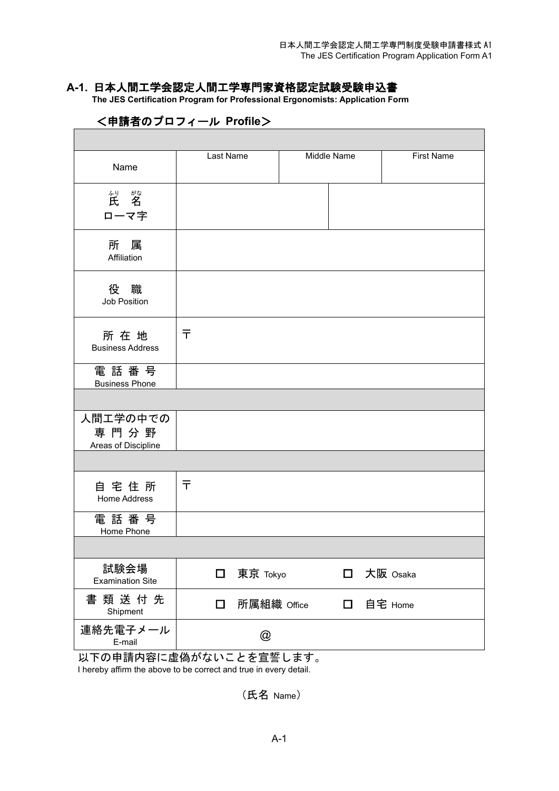### **A-1.** 日本人間工学会認定人間工学専門家資格認定試験受験申込書

 **The JES Certification Program for Professional Ergonomists: Application Form**

| Name                                    | Last Name    |                      | <b>Middle Name</b> |           | <b>First Name</b> |
|-----------------------------------------|--------------|----------------------|--------------------|-----------|-------------------|
| "。"    "<br>ローマ字                        |              |                      |                    |           |                   |
| 所属<br>Affiliation                       |              |                      |                    |           |                   |
| 役 職<br>Job Position                     |              |                      |                    |           |                   |
| 所在地<br><b>Business Address</b>          | $\bar{\tau}$ |                      |                    |           |                   |
| 電話番号<br><b>Business Phone</b>           |              |                      |                    |           |                   |
|                                         |              |                      |                    |           |                   |
| 人間工学の中での<br>専門分野<br>Areas of Discipline |              |                      |                    |           |                   |
|                                         |              |                      |                    |           |                   |
| 自宅住所<br>Home Address                    | ᆍ            |                      |                    |           |                   |
| 電話番号<br>Home Phone                      |              |                      |                    |           |                   |
|                                         |              |                      |                    |           |                   |
| 試験会場<br><b>Examination Site</b>         | $\Box$       | 東京 Tokyo             | $\Box$             | 大阪 Osaka  |                   |
| 書類送付先<br>Shipment                       | $\Box$       | 所属組織 Office          |                    | 口 自宅 Home |                   |
| 連絡先電子メール<br>E-mail                      |              | $^{\textregistered}$ |                    |           |                   |

## <申請者のプロフィール **Profile**>

以下の申請内容に虚偽がないことを宣誓します。 I hereby affirm the above to be correct and true in every detail.

(氏名 Name)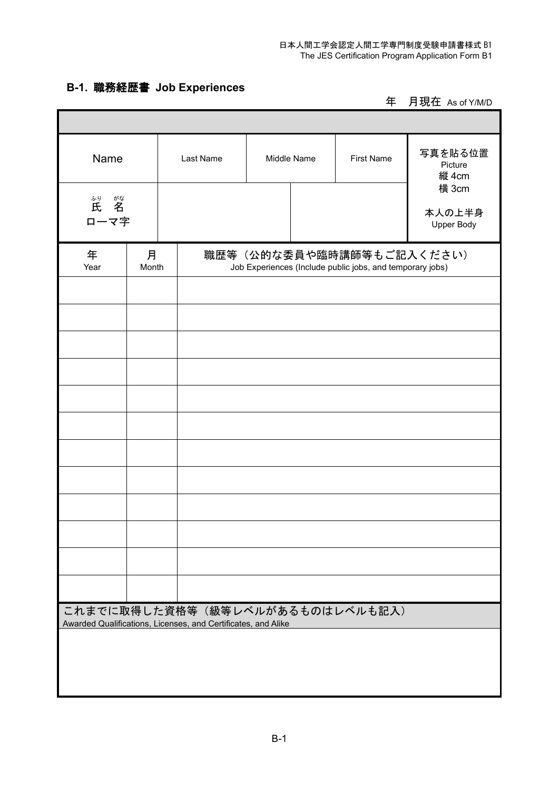# **B-1.** 職務経歴書 **Job Experiences**

Г

年 月現在 As of Y/M/D

| Name             |            | Last Name                                                     | Middle Name | <b>First Name</b>                                                                     | 写真を貼る位置<br>Picture<br>縦 4cm   |
|------------------|------------|---------------------------------------------------------------|-------------|---------------------------------------------------------------------------------------|-------------------------------|
| "。"    "<br>ローマ字 |            |                                                               |             |                                                                                       | 横 3cm<br>本人の上半身<br>Upper Body |
| 年<br>Year        | 月<br>Month |                                                               |             | 職歴等(公的な委員や臨時講師等もご記入ください)<br>Job Experiences (Include public jobs, and temporary jobs) |                               |
|                  |            |                                                               |             |                                                                                       |                               |
|                  |            |                                                               |             |                                                                                       |                               |
|                  |            |                                                               |             |                                                                                       |                               |
|                  |            |                                                               |             |                                                                                       |                               |
|                  |            |                                                               |             |                                                                                       |                               |
|                  |            |                                                               |             |                                                                                       |                               |
|                  |            |                                                               |             |                                                                                       |                               |
|                  |            |                                                               |             | これまでに取得した資格等(級等レベルがあるものはレベルも記入)                                                       |                               |
|                  |            | Awarded Qualifications, Licenses, and Certificates, and Alike |             |                                                                                       |                               |
|                  |            |                                                               |             |                                                                                       |                               |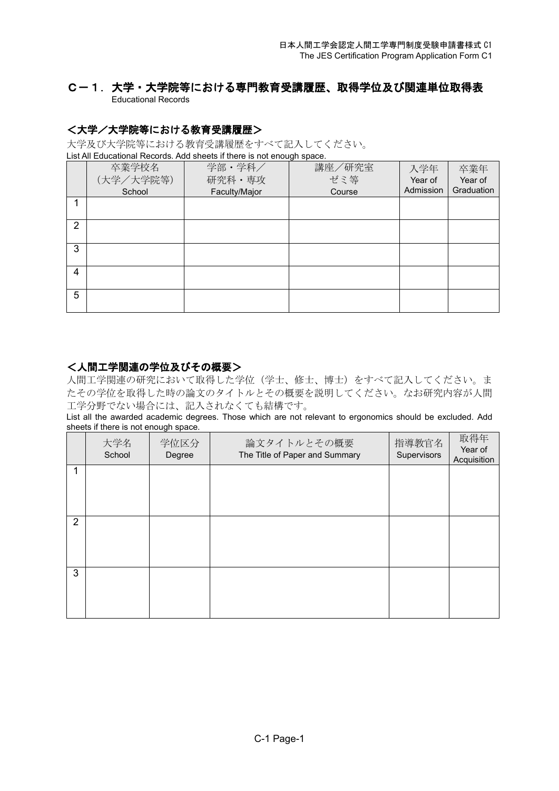### C-1.大学・大学院等における専門教育受講履歴、取得学位及び関連単位取得表Educational Records

### <大学/大学院等における教育受講履歴>

大学及び大学院等における教育受講履歴をすべて記入してください。 List All Educational Records. Add sheets if there is not enough space.

|   |           | List All Educational Necords. Add sheets if there is not enough space. |        |           |            |
|---|-----------|------------------------------------------------------------------------|--------|-----------|------------|
|   | 卒業学校名     | 学部・学科/                                                                 | 講座/研究室 | 入学年       | 卒業年        |
|   | (大学/大学院等) | 研究科·専攻                                                                 | ゼミ等    | Year of   | Year of    |
|   | School    | Faculty/Major                                                          | Course | Admission | Graduation |
|   |           |                                                                        |        |           |            |
| 2 |           |                                                                        |        |           |            |
| 3 |           |                                                                        |        |           |            |
| 4 |           |                                                                        |        |           |            |
| 5 |           |                                                                        |        |           |            |

#### <人間工学関連の学位及びその概要>

人間工学関連の研究において取得した学位(学士、修士、博士)をすべて記入してください。ま たその学位を取得した時の論文のタイトルとその概要を説明してください。なお研究内容が人間 工学分野でない場合には、記入されなくても結構です。

List all the awarded academic degrees. Those which are not relevant to ergonomics should be excluded. Add sheets if there is not enough space.

|   | 大学名<br>School | 学位区分<br>Degree | 論文タイトルとその概要<br>The Title of Paper and Summary | 指導教官名<br>Supervisors | 取得年<br>Year of<br>Acquisition |
|---|---------------|----------------|-----------------------------------------------|----------------------|-------------------------------|
| 1 |               |                |                                               |                      |                               |
| 2 |               |                |                                               |                      |                               |
| 3 |               |                |                                               |                      |                               |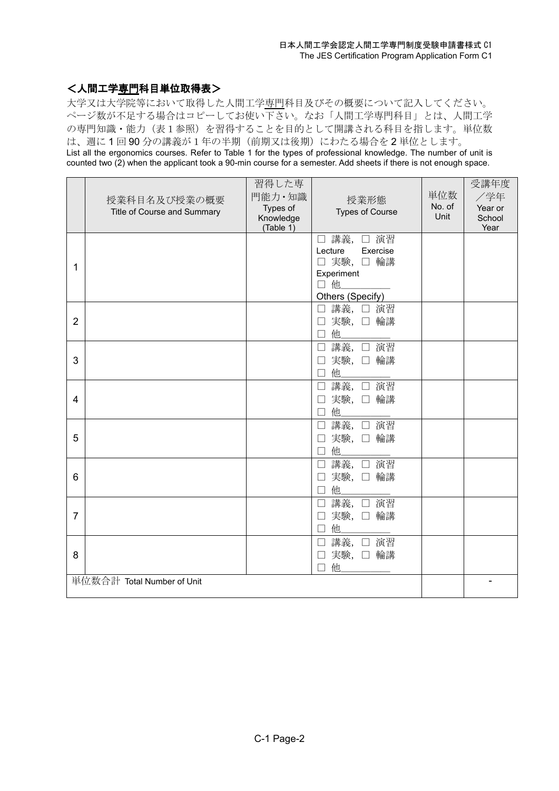### <人間工学専門科目単位取得表>

大学又は大学院等において取得した人間工学専門科目及びその概要について記入してください。 ページ数が不足する場合はコピーしてお使い下さい。なお「人間工学専門科目」とは、人間工学 の専門知識·能力(表1参照)を習得することを目的として開講される科目を指します。単位数 は、週に 1 回 90 分の講義が1年の半期(前期又は後期)にわたる場合を 2 単位とします。 List all the ergonomics courses. Refer to Table 1 for the types of professional knowledge. The number of unit is counted two (2) when the applicant took a 90-min course for a semester. Add sheets if there is not enough space.

|                | 授業科目名及び授業の概要<br>Title of Course and Summary | 習得した専<br>門能力·知識<br>Types of<br>Knowledge<br>(Table 1) | 授業形態<br><b>Types of Course</b>                                                                  | 単位数<br>No. of<br>Unit | 受講年度<br>/学年<br>Year or<br>School<br>Year |
|----------------|---------------------------------------------|-------------------------------------------------------|-------------------------------------------------------------------------------------------------|-----------------------|------------------------------------------|
| 1              |                                             |                                                       | 講義, □ 演習<br>$\Box$<br>Exercise<br>Lecture<br>□ 実験, □ 輪講<br>Experiment<br>口他<br>Others (Specify) |                       |                                          |
| $\overline{2}$ |                                             |                                                       | 講義, □ 演習<br>П<br>実験, 口輪講<br>$\Box$<br>□ 他                                                       |                       |                                          |
| 3              |                                             |                                                       | 講義, □ 演習<br>$\Box$<br>実験, 口輪講<br>П<br>他<br>$\Box$                                               |                       |                                          |
| 4              |                                             |                                                       | 講義, □ 演習<br>$\Box$<br>実験, 口輪講<br>П<br>他.<br>П                                                   |                       |                                          |
| 5              |                                             |                                                       | 講義, □ 演習<br>実験, 口輪講<br>他                                                                        |                       |                                          |
| 6              |                                             |                                                       | 講義, □ 演習<br>$\Box$<br>実験, 口輪講<br>他<br>$\Box$                                                    |                       |                                          |
| $\overline{7}$ |                                             |                                                       | 講義, □ 演習<br>$\Box$<br>実験, 口輪講<br>他                                                              |                       |                                          |
| 8              |                                             |                                                       | 講義, □ 演習<br>$\Box$<br>実験, 口輪講<br>他<br>┓                                                         |                       |                                          |
|                | 単位数合計 Total Number of Unit                  |                                                       |                                                                                                 |                       | -                                        |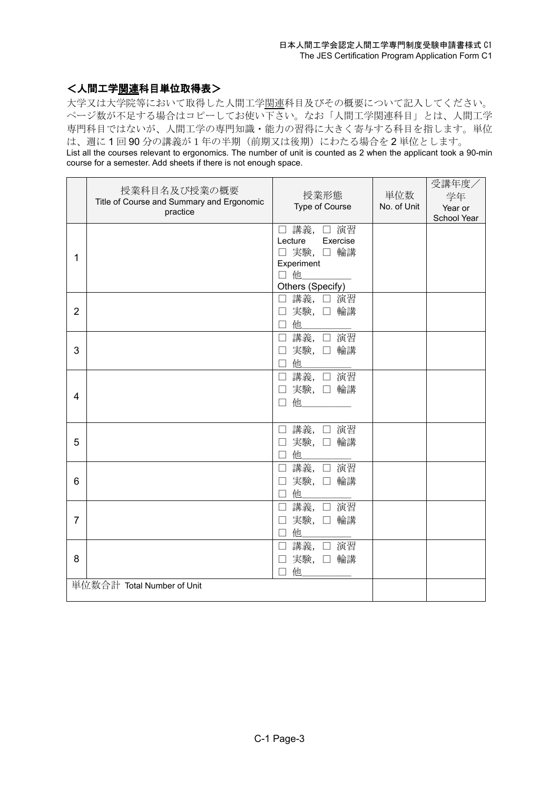### く人間工学関連科目単位取得表>

大学又は大学院等において取得した人間工学関連科目及びその概要について記入してください。 ページ数が不足する場合はコピーしてお使い下さい。なお「人間工学関連科目」とは、人間工学 専門科目ではないが、人間工学の専門知識・能力の習得に大きく寄与する科目を指します。単位 は、週に 1 回 90 分の講義が1年の半期(前期又は後期)にわたる場合を 2 単位とします。 List all the courses relevant to ergonomics. The number of unit is counted as 2 when the applicant took a 90-min course for a semester. Add sheets if there is not enough space.

|                | 授業科目名及び授業の概要<br>Title of Course and Summary and Ergonomic<br>practice | 授業形態<br>Type of Course                                                               | 単位数<br>No. of Unit | 受講年度/<br>学年<br>Year or<br>School Year |
|----------------|-----------------------------------------------------------------------|--------------------------------------------------------------------------------------|--------------------|---------------------------------------|
| 1              |                                                                       | □ 講義, □ 演習<br>Lecture Exercise<br>□ 実験, □ 輪講<br>Experiment<br>口他<br>Others (Specify) |                    |                                       |
| $\overline{2}$ |                                                                       | □ 講義, □ 演習<br>□ 実験, □ 輪講<br>他<br>П.                                                  |                    |                                       |
| 3              |                                                                       | 講義, □ 演習<br>$\Box$<br>実験, 口 輪講<br>$\Box$<br>他<br>П                                   |                    |                                       |
| 4              |                                                                       | □ 講義, □ 演習<br>実験, 口 輪講<br>П<br>П                                                     |                    |                                       |
| 5              |                                                                       | □ 講義, □ 演習<br>実験, 口輪講<br>$\Box$<br>他<br>$\Box$                                       |                    |                                       |
| 6              |                                                                       | 講義, □ 演習<br>$\Box$<br>実験, 口 輪講<br>П<br>他<br>П                                        |                    |                                       |
| 7              |                                                                       | 講義, □ 演習<br>П<br>実験, 口輪講<br>$\vert \ \ \vert$<br>他                                   |                    |                                       |
| 8              |                                                                       | 講義, □ 演習<br>П<br>実験, 口輪講<br>他<br>П                                                   |                    |                                       |
|                | 単位数合計 Total Number of Unit                                            |                                                                                      |                    |                                       |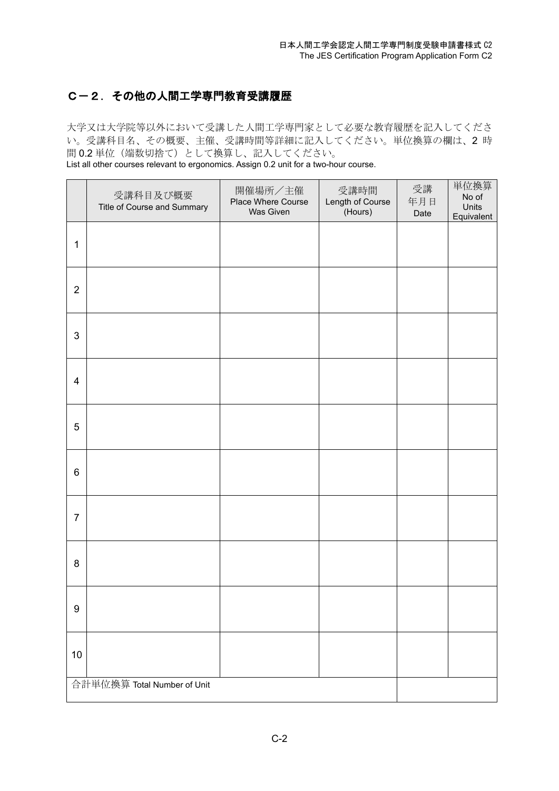## C-2.その他の人間工学専門教育受講履歴

大学又は大学院等以外において受講した人間工学専門家として必要な教育履歴を記入してくださ い。受講科目名、その概要、主催、受講時間等詳細に記入してください。単位換算の欄は、2 時 間 0.2 単位(端数切捨て)として換算し、記入してください。

List all other courses relevant to ergonomics. Assign 0.2 unit for a two-hour course.

|                  | 受講科目及び概要<br>Title of Course and Summary | 開催場所/主催<br>Place Where Course<br>Was Given | 受講時間<br>Length of Course<br>(Hours) | 受講<br>年月日<br>Date | 単位換算<br>No of<br>Units<br>Equivalent |
|------------------|-----------------------------------------|--------------------------------------------|-------------------------------------|-------------------|--------------------------------------|
| $\mathbf 1$      |                                         |                                            |                                     |                   |                                      |
| $\overline{2}$   |                                         |                                            |                                     |                   |                                      |
| 3                |                                         |                                            |                                     |                   |                                      |
| $\overline{4}$   |                                         |                                            |                                     |                   |                                      |
| 5                |                                         |                                            |                                     |                   |                                      |
| $\,6$            |                                         |                                            |                                     |                   |                                      |
| $\overline{7}$   |                                         |                                            |                                     |                   |                                      |
| 8                |                                         |                                            |                                     |                   |                                      |
| $\boldsymbol{9}$ |                                         |                                            |                                     |                   |                                      |
| 10               |                                         |                                            |                                     |                   |                                      |
|                  | 合計単位換算 Total Number of Unit             |                                            |                                     |                   |                                      |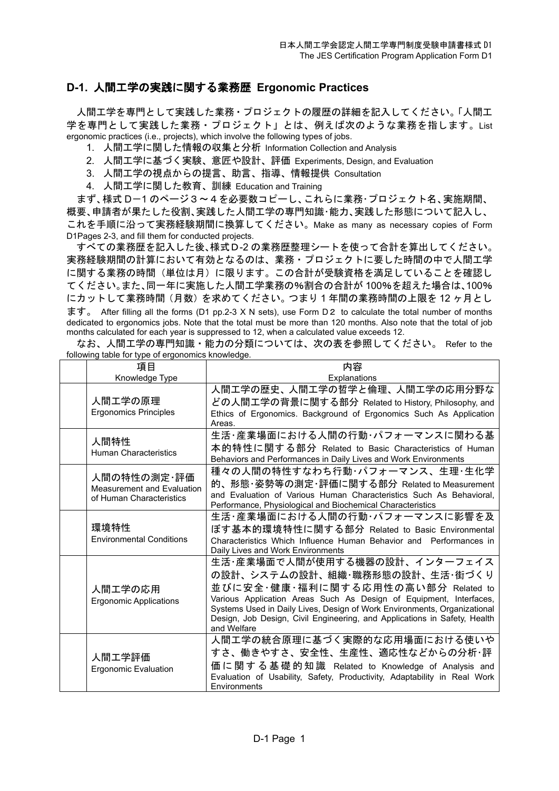### **D-1.** 人間工学の実践に関する業務歴 **Ergonomic Practices**

人間工学を専門として実践した業務・プロジェクトの履歴の詳細を記入してください。「人間工 学を専門として実践した業務・プロジェクト」とは、例えば次のような業務を指します。List ergonomic practices (i.e., projects), which involve the following types of jobs.

- 1. 人間工学に関した情報の収集と分析 Information Collection and Analysis
- 2. 人間工学に基づく実験、意匠や設計、評価 Experiments, Design, and Evaluation
- 3. 人間工学の視点からの提言、助言、指導、情報提供 Consultation
- 4. 人間工学に関した教育、訓練 Education and Training

まず、様式 D-1 のページ3~4を必要数コピーし、これらに業務・プロジェクト名、実施期間、 概要、申請者が果たした役割、実践した人間工学の専門知識・能力、実践した形態について記入し、 これを手順に沿って実務経験期間に換算してください。Make as many as necessary copies of Form D1Pages 2-3, and fill them for conducted projects.

すべての業務歴を記入した後、様式D-2 の業務歴整理シートを使って合計を算出してください。 実務経験期間の計算において有効となるのは、業務・プロジェクトに要した時間の中で人間工学 に関する業務の時間(単位は月)に限ります。この合計が受験資格を満足していることを確認し てください。また、同一年に実施した人間工学業務の%割合の合計が 100%を超えた場合は、100% にカットして業務時間(月数)を求めてください。つまり 1 年間の業務時間の上限を 12 ヶ月とし ます。 After filling all the forms (D1 pp.2-3 X N sets), use Form D2 to calculate the total number of months dedicated to ergonomics jobs. Note that the total must be more than 120 months. Also note that the total of job months calculated for each year is suppressed to 12, when a calculated value exceeds 12.

| following table for type of ergonomics knowledge. |  |  |  | なお、人間工学の専門知識・能力の分類については、次の表を参照してください。 Refer to the |  |
|---------------------------------------------------|--|--|--|----------------------------------------------------|--|
|                                                   |  |  |  |                                                    |  |

| 項目                                | 内容                                                                                                                                             |
|-----------------------------------|------------------------------------------------------------------------------------------------------------------------------------------------|
| Knowledge Type                    | Explanations                                                                                                                                   |
|                                   | 人間工学の歴史、人間工学の哲学と倫理、人間工学の応用分野な                                                                                                                  |
| 人間エ学の原理                           | どの人間工学の背景に関する部分 Related to History, Philosophy, and                                                                                            |
| <b>Ergonomics Principles</b>      | Ethics of Ergonomics. Background of Ergonomics Such As Application<br>Areas.                                                                   |
| 人間特性                              | 生活・産業場面における人間の行動・パフォーマンスに関わる基                                                                                                                  |
| <b>Human Characteristics</b>      | 本的特性に関する部分 Related to Basic Characteristics of Human                                                                                           |
|                                   | Behaviors and Performances in Daily Lives and Work Environments                                                                                |
| 人間の特性の測定・評価                       | 種々の人間の特性すなわち行動・パフォーマンス、生理・生化学                                                                                                                  |
| <b>Measurement and Evaluation</b> | 的、形態・姿勢等の測定・評価に関する部分 Related to Measurement                                                                                                    |
| of Human Characteristics          | and Evaluation of Various Human Characteristics Such As Behavioral.                                                                            |
|                                   | Performance, Physiological and Biochemical Characteristics                                                                                     |
|                                   | 生活・産業場面における人間の行動・パフォーマンスに影響を及                                                                                                                  |
| 環境特性                              | ぼす基本的環境特性に関する部分 Related to Basic Environmental                                                                                                 |
| <b>Environmental Conditions</b>   | Characteristics Which Influence Human Behavior and Performances in                                                                             |
|                                   | Daily Lives and Work Environments                                                                                                              |
|                                   | 生活・産業場面で人間が使用する機器の設計、インターフェイス                                                                                                                  |
|                                   | の設計、システムの設計、組織・職務形態の設計、生活・街づくり                                                                                                                 |
| 人間エ学の応用                           | 並びに安全・健康・福利に関する応用性の高い部分 Related to                                                                                                             |
| <b>Ergonomic Applications</b>     | Various Application Areas Such As Design of Equipment, Interfaces,<br>Systems Used in Daily Lives, Design of Work Environments, Organizational |
|                                   | Design, Job Design, Civil Engineering, and Applications in Safety, Health                                                                      |
|                                   | and Welfare                                                                                                                                    |
|                                   | 人間工学の統合原理に基づく実際的な応用場面における使いや                                                                                                                   |
| 人間工学評価                            | すさ、働きやすさ、安全性、生産性、適応性などからの分析・評                                                                                                                  |
| <b>Ergonomic Evaluation</b>       | 価に関する基礎的知識 Related to Knowledge of Analysis and                                                                                                |
|                                   | Evaluation of Usability, Safety, Productivity, Adaptability in Real Work                                                                       |
|                                   | Environments                                                                                                                                   |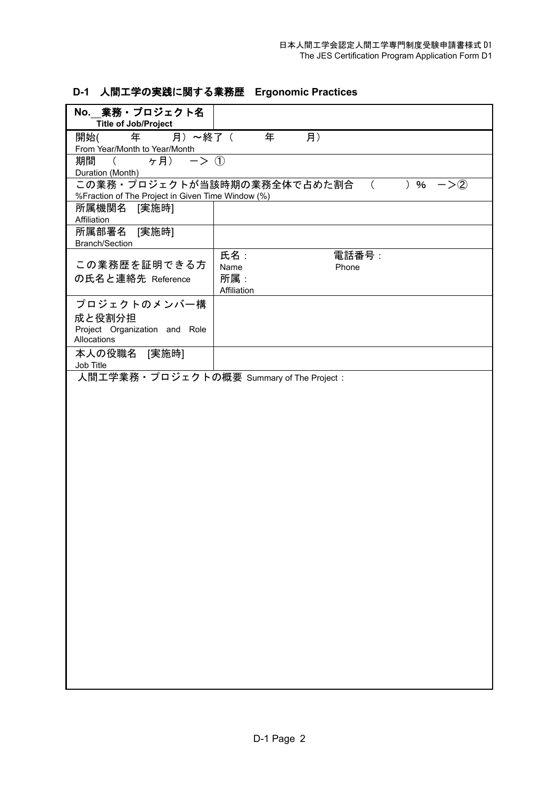# **D-1** 人間工学の実践に関する業務歴 **Ergonomic Practices**

| No. 業務·プロジェクト名<br><b>Title of Job/Project</b>                              |                                                     |
|----------------------------------------------------------------------------|-----------------------------------------------------|
| 月) ~終了(<br>年<br>開始(                                                        | 年<br>月)                                             |
| <u>From Year/Month to Year/Month</u><br>期間 (  ヶ月) 一> ①<br>Duration (Month) |                                                     |
| %Fraction of The Project in Given Time Window (%)                          | この業務・プロジェクトが当該時期の業務全体で占めた割合<br>) %<br>$-\geq 2$     |
| 所属機関名<br>[実施時]<br>Affiliation                                              |                                                     |
| 所属部署名 [実施時]<br><b>Branch/Section</b>                                       |                                                     |
| この業務歴を証明できる方<br>の氏名と連絡先 Reference                                          | 氏名:<br>電話番号:<br>Name<br>Phone<br>所属:<br>Affiliation |
| プロジェクトのメンバー構<br>成と役割分担<br>Project Organization and Role<br>Allocations     |                                                     |
| 本人の役職名 [実施時]<br>Job Title                                                  |                                                     |
| 人間工学業務 • プロジェクトの概要 Summary of The Project :                                |                                                     |
|                                                                            |                                                     |
|                                                                            |                                                     |
|                                                                            |                                                     |
|                                                                            |                                                     |
|                                                                            |                                                     |
|                                                                            |                                                     |
|                                                                            |                                                     |
|                                                                            |                                                     |
|                                                                            |                                                     |
|                                                                            |                                                     |
|                                                                            |                                                     |
|                                                                            |                                                     |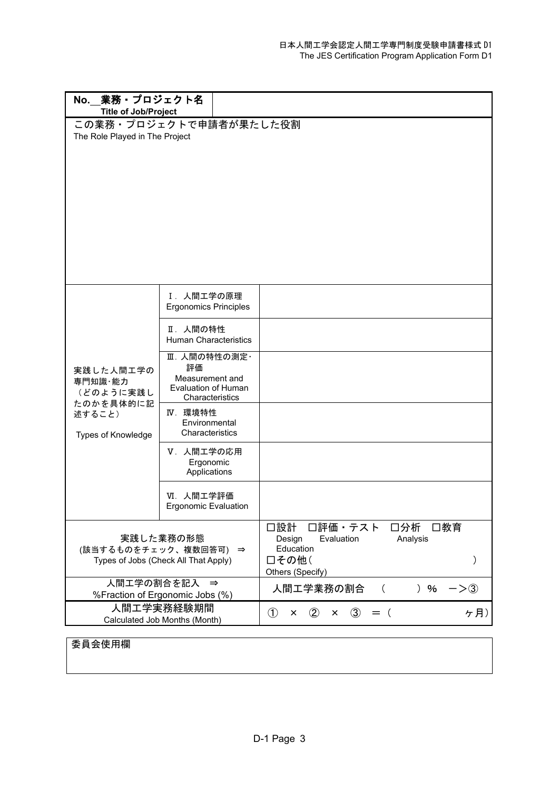| No. 業務 · プロジェクト名<br><b>Title of Job/Project</b>                            |                                                                                        |                                                                                                                 |
|----------------------------------------------------------------------------|----------------------------------------------------------------------------------------|-----------------------------------------------------------------------------------------------------------------|
| The Role Played in The Project                                             | この業務·プロジェクトで申請者が果たした役割                                                                 |                                                                                                                 |
|                                                                            | Ⅰ. 人間工学の原理<br><b>Ergonomics Principles</b>                                             |                                                                                                                 |
|                                                                            | Ⅱ. 人間の特性<br><b>Human Characteristics</b>                                               |                                                                                                                 |
| 実践した人間工学の<br>専門知識·能力<br>(どのように実践し                                          | Ⅲ. 人間の特性の測定·<br>評価<br>Measurement and<br><b>Evaluation of Human</b><br>Characteristics |                                                                                                                 |
| たのかを具体的に記<br>述すること)<br>Types of Knowledge                                  | IV. 環境特性<br>Environmental<br>Characteristics                                           |                                                                                                                 |
|                                                                            | Ⅴ. 人間工学の応用<br>Ergonomic<br>Applications                                                |                                                                                                                 |
|                                                                            | VI. 人間工学評価<br><b>Ergonomic Evaluation</b>                                              |                                                                                                                 |
| 実践した業務の形態<br>(該当するものをチェック、複数回答可) ⇒<br>Types of Jobs (Check All That Apply) |                                                                                        | 口設計<br>口評価・テスト<br>□分析<br>□教育<br>Design<br>Evaluation<br>Analysis<br>Education<br>□その他(<br>)<br>Others (Specify) |
|                                                                            | 人間工学の割合を記入 ⇒<br>%Fraction of Ergonomic Jobs (%)                                        | 人間エ学業務の割合<br>) $%$<br>$->3)$<br>$\left($                                                                        |
|                                                                            | 人間工学実務経験期間<br>Calculated Job Months (Month)                                            | $\circled{1}$<br>$\circled{3}$<br>ケ月)<br>$\circled{2}$<br>$=$ (<br>×<br>×                                       |

# 委員会使用欄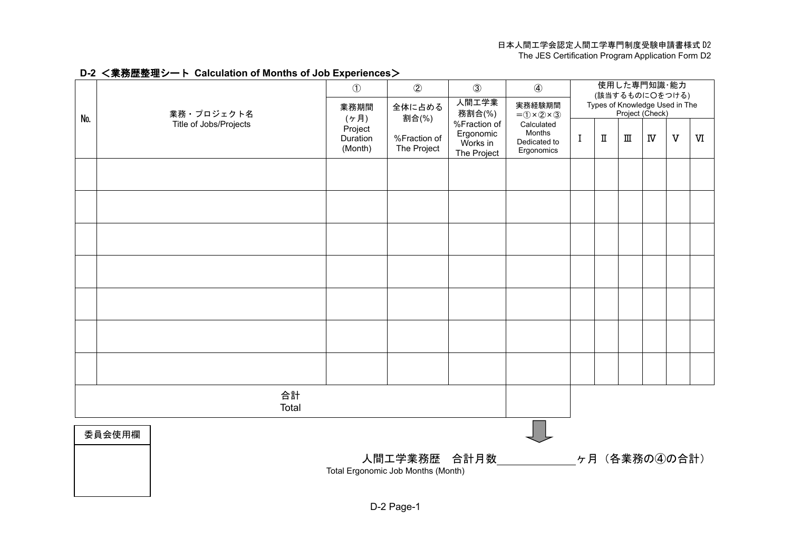#### 日本人間工学会認定人間工学専門制度受験申請書様式 D2

The JES Certification Program Application Form D2

#### **D-2** <業務歴整理シート **Calculation of Months of Job Experiences**>

|     |                        |                                                                                 | $\circled{1}$                  | $\circled{2}$               | $\circled{3}$                                        | $\circled{4}$                                      | 使用した専門知識・能力<br>(該当するものに〇をつける) |                         |                                                   |                       |                         |   |
|-----|------------------------|---------------------------------------------------------------------------------|--------------------------------|-----------------------------|------------------------------------------------------|----------------------------------------------------|-------------------------------|-------------------------|---------------------------------------------------|-----------------------|-------------------------|---|
| No. | 業務・プロジェクト名             |                                                                                 | 業務期間<br>(5f)                   | 全体に占める<br>割合(%)             | 人間工学業<br>務割合(%)                                      | 実務経験期間<br>$= 0 \times 2 \times 3$                  |                               |                         | Types of Knowledge Used in The<br>Project (Check) |                       |                         |   |
|     | Title of Jobs/Projects |                                                                                 | Project<br>Duration<br>(Month) | %Fraction of<br>The Project | %Fraction of<br>Ergonomic<br>Works in<br>The Project | Calculated<br>Months<br>Dedicated to<br>Ergonomics | I                             | $\rm I\hspace{-0.1cm}I$ | $\rm I\hspace{-.1em}I\hspace{-.1em}I$             | $\overline{\text{N}}$ | $\overline{\mathbf{V}}$ | W |
|     |                        |                                                                                 |                                |                             |                                                      |                                                    |                               |                         |                                                   |                       |                         |   |
|     |                        |                                                                                 |                                |                             |                                                      |                                                    |                               |                         |                                                   |                       |                         |   |
|     |                        |                                                                                 |                                |                             |                                                      |                                                    |                               |                         |                                                   |                       |                         |   |
|     |                        |                                                                                 |                                |                             |                                                      |                                                    |                               |                         |                                                   |                       |                         |   |
|     |                        |                                                                                 |                                |                             |                                                      |                                                    |                               |                         |                                                   |                       |                         |   |
|     |                        |                                                                                 |                                |                             |                                                      |                                                    |                               |                         |                                                   |                       |                         |   |
|     |                        |                                                                                 |                                |                             |                                                      |                                                    |                               |                         |                                                   |                       |                         |   |
|     | 合計<br>Total            |                                                                                 |                                |                             |                                                      |                                                    |                               |                         |                                                   |                       |                         |   |
|     | 委員会使用欄                 |                                                                                 |                                |                             |                                                      |                                                    |                               |                         |                                                   |                       |                         |   |
|     |                        | 人間工学業務歴 合計月数____________<br>_ヶ月(各業務の④の合計)<br>Total Ergonomic Job Months (Month) |                                |                             |                                                      |                                                    |                               |                         |                                                   |                       |                         |   |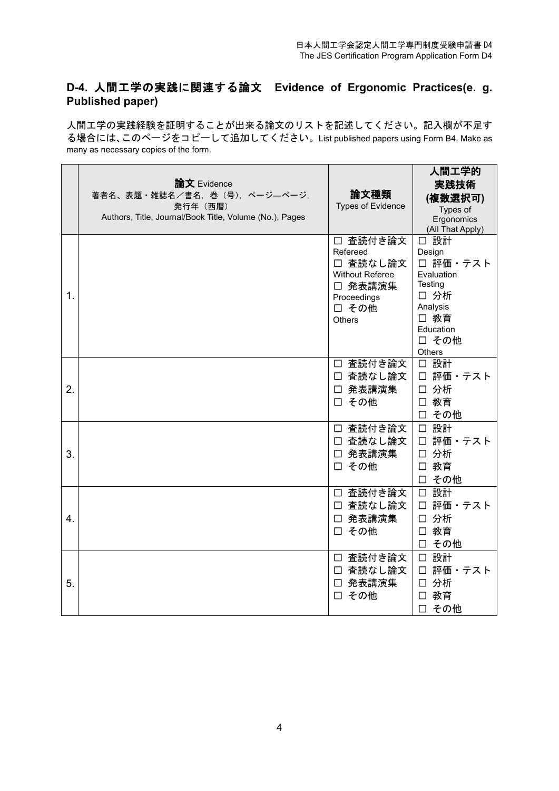## **D-4.** 人間工学の実践に関連する論文 **Evidence of Ergonomic Practices(e. g. Published paper)**

人間工学の実践経験を証明することが出来る論文のリストを記述してください。記入欄が不足す る場合には、このページをコピーして追加してください。List published papers using Form B4. Make as many as necessary copies of the form.

|                  | 論文 Evidence<br>著者名、表題・雑誌名/書名、巻 (号)、ページーページ,<br>発行年 (西暦)<br>Authors, Title, Journal/Book Title, Volume (No.), Pages | 論文種類<br><b>Types of Evidence</b>                                                                        | 人間工学的<br>実践技術<br>(複数選択可)<br>Types of<br>Ergonomics<br>(All That Apply)                                          |
|------------------|--------------------------------------------------------------------------------------------------------------------|---------------------------------------------------------------------------------------------------------|-----------------------------------------------------------------------------------------------------------------|
| 1.               |                                                                                                                    | □ 査読付き論文<br>Refereed<br>□ 査読なし論文<br><b>Without Referee</b><br>□ 発表講演集<br>Proceedings<br>□ その他<br>Others | □ 設計<br>Design<br>□ 評価・テスト<br>Evaluation<br>Testing<br>□ 分析<br>Analysis<br>□ 教育<br>Education<br>□ その他<br>Others |
| 2.               |                                                                                                                    | □ 査読付き論文<br>□ 査読なし論文<br>□ 発表講演集<br>□ その他                                                                | 口 設計<br>□ 評価・テスト<br>□ 分析<br>□ 教育<br>□ その他                                                                       |
| 3.               |                                                                                                                    | □ 査読付き論文<br>□ 査読なし論文<br>□ 発表講演集<br>□ その他                                                                | □ 設計<br>□ 評価・テスト<br>□ 分析<br>□ 教育<br>その他<br>□                                                                    |
| $\overline{4}$ . |                                                                                                                    | □ 査読付き論文<br>□ 査読なし論文<br>□ 発表講演集<br>□ その他                                                                | □ 設計<br>評価・テスト<br>$\Box$<br>分析<br>$\Box$<br>□ 教育<br>□ その他                                                       |
| 5.               |                                                                                                                    | □ 査読付き論文<br>□ 査読なし論文<br>□ 発表講演集<br>□ その他                                                                | □ 設計<br>口 評価・テスト<br>分析<br>$\Box$<br>□ 教育<br>□ その他                                                               |